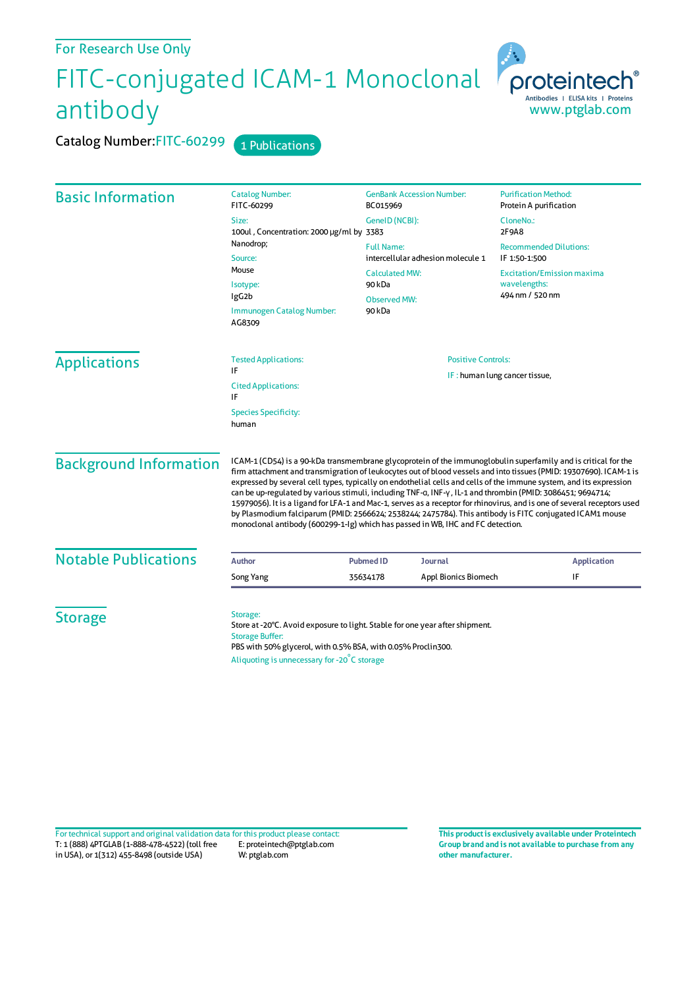## FITC-conjugated ICAM-1 Monoclonal antibody

proteintech Antibodies | ELISA kits | Proteins<br>WWW.ptglab.com

Catalog Number: FITC-60299 1 Publications

| <b>Basic Information</b>             | <b>Catalog Number:</b><br>FITC-60299                                                                                                                                                                                                                                                                                                                                                                                                                                                                                                                                                                                                                                                                                                                                                                | <b>GenBank Accession Number:</b><br>BC015969                     | <b>Purification Method:</b><br>Protein A purification                |                     |                             |                           |                                |
|--------------------------------------|-----------------------------------------------------------------------------------------------------------------------------------------------------------------------------------------------------------------------------------------------------------------------------------------------------------------------------------------------------------------------------------------------------------------------------------------------------------------------------------------------------------------------------------------------------------------------------------------------------------------------------------------------------------------------------------------------------------------------------------------------------------------------------------------------------|------------------------------------------------------------------|----------------------------------------------------------------------|---------------------|-----------------------------|---------------------------|--------------------------------|
|                                      | Size:                                                                                                                                                                                                                                                                                                                                                                                                                                                                                                                                                                                                                                                                                                                                                                                               | GenelD (NCBI):                                                   | CloneNo.:                                                            |                     |                             |                           |                                |
|                                      | 100ul, Concentration: 2000 µg/ml by 3383                                                                                                                                                                                                                                                                                                                                                                                                                                                                                                                                                                                                                                                                                                                                                            |                                                                  | 2F9A8                                                                |                     |                             |                           |                                |
|                                      | Nanodrop;                                                                                                                                                                                                                                                                                                                                                                                                                                                                                                                                                                                                                                                                                                                                                                                           | <b>Full Name:</b>                                                | <b>Recommended Dilutions:</b>                                        |                     |                             |                           |                                |
|                                      | Source:<br>Mouse                                                                                                                                                                                                                                                                                                                                                                                                                                                                                                                                                                                                                                                                                                                                                                                    | intercellular adhesion molecule 1                                | IF 1:50-1:500                                                        |                     |                             |                           |                                |
|                                      | Isotype:<br>lgG <sub>2</sub> b<br>Immunogen Catalog Number:<br>AG8309                                                                                                                                                                                                                                                                                                                                                                                                                                                                                                                                                                                                                                                                                                                               | <b>Calculated MW:</b><br>90 kDa<br><b>Observed MW:</b><br>90 kDa | <b>Excitation/Emission maxima</b><br>wavelengths:<br>494 nm / 520 nm |                     |                             |                           |                                |
|                                      |                                                                                                                                                                                                                                                                                                                                                                                                                                                                                                                                                                                                                                                                                                                                                                                                     |                                                                  |                                                                      | <b>Applications</b> | <b>Tested Applications:</b> | <b>Positive Controls:</b> |                                |
|                                      |                                                                                                                                                                                                                                                                                                                                                                                                                                                                                                                                                                                                                                                                                                                                                                                                     |                                                                  |                                                                      |                     | IF                          |                           | IF : human lung cancer tissue, |
| <b>Cited Applications:</b><br>IF     |                                                                                                                                                                                                                                                                                                                                                                                                                                                                                                                                                                                                                                                                                                                                                                                                     |                                                                  |                                                                      |                     |                             |                           |                                |
| <b>Species Specificity:</b><br>human |                                                                                                                                                                                                                                                                                                                                                                                                                                                                                                                                                                                                                                                                                                                                                                                                     |                                                                  |                                                                      |                     |                             |                           |                                |
| <b>Background Information</b>        | ICAM-1 (CD54) is a 90-kDa transmembrane glycoprotein of the immunoglobulin superfamily and is critical for the<br>firm attachment and transmigration of leukocytes out of blood vessels and into tissues (PMID: 19307690). ICAM-1 is<br>expressed by several cell types, typically on endothelial cells and cells of the immune system, and its expression<br>can be up-regulated by various stimuli, including TNF-a, INF-y, IL-1 and thrombin (PMID: 3086451; 9694714;<br>15979056). It is a ligand for LFA-1 and Mac-1, serves as a receptor for rhinovirus, and is one of several receptors used<br>by Plasmodium falciparum (PMID: 2566624; 2538244; 2475784). This antibody is FITC conjugated ICAM1 mouse<br>monoclonal antibody (600299-1-1g) which has passed in WB, IHC and FC detection. |                                                                  |                                                                      |                     |                             |                           |                                |
| <b>Notable Publications</b>          | <b>Author</b>                                                                                                                                                                                                                                                                                                                                                                                                                                                                                                                                                                                                                                                                                                                                                                                       | <b>Pubmed ID</b><br>Journal                                      | <b>Application</b>                                                   |                     |                             |                           |                                |
|                                      | Song Yang                                                                                                                                                                                                                                                                                                                                                                                                                                                                                                                                                                                                                                                                                                                                                                                           | 35634178<br>Appl Bionics Biomech                                 | IF                                                                   |                     |                             |                           |                                |
| <b>Storage</b>                       | Storage:<br>Store at -20°C. Avoid exposure to light. Stable for one year after shipment.<br><b>Storage Buffer:</b><br>PBS with 50% glycerol, with 0.5% BSA, with 0.05% Proclin300.<br>Aliquoting is unnecessary for -20°C storage                                                                                                                                                                                                                                                                                                                                                                                                                                                                                                                                                                   |                                                                  |                                                                      |                     |                             |                           |                                |

**Group brand and is not available to purchase from any other manufacturer.**